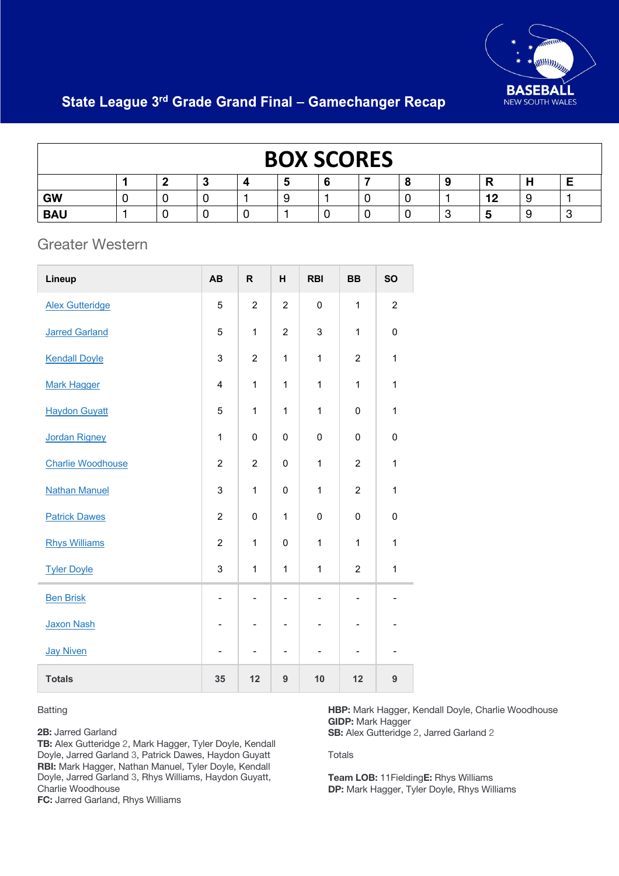

# State League 3rd Grade Grand Final - Gamechanger Recap

| <b>BOX SCORES</b> |  |  |        |  |  |  |  |  |   |    |   |
|-------------------|--|--|--------|--|--|--|--|--|---|----|---|
|                   |  |  | $\sim$ |  |  |  |  |  | 9 |    | - |
| <b>GW</b>         |  |  |        |  |  |  |  |  |   | 12 |   |
| <b>BAU</b>        |  |  |        |  |  |  |  |  | ∽ | Ю  |   |

### Greater Western

| Lineup                   | AB                       | $\mathsf R$    | Н              | <b>RBI</b>               | <b>BB</b>                    | <b>SO</b>      |
|--------------------------|--------------------------|----------------|----------------|--------------------------|------------------------------|----------------|
| <b>Alex Gutteridge</b>   | 5                        | $\overline{2}$ | $\overline{2}$ | 0                        | $\mathbf{1}$                 | $\overline{c}$ |
| <b>Jarred Garland</b>    | 5                        | 1              | $\overline{2}$ | 3                        | 1                            | $\pmb{0}$      |
| <b>Kendall Doyle</b>     | 3                        | $\overline{c}$ | $\mathbf 1$    | $\mathbf{1}$             | $\overline{c}$               | 1              |
| <b>Mark Hagger</b>       | 4                        | 1              | 1              | $\mathbf{1}$             | 1                            | 1              |
| <b>Haydon Guyatt</b>     | 5                        | 1              | $\mathbf{1}$   | $\mathbf{1}$             | $\mathbf 0$                  | $\mathbf 1$    |
| <b>Jordan Rigney</b>     | 1                        | 0              | $\mathbf 0$    | $\mathbf 0$              | $\mathbf 0$                  | 0              |
| <b>Charlie Woodhouse</b> | $\overline{2}$           | $\overline{2}$ | $\mathbf 0$    | $\mathbf{1}$             | $\overline{c}$               | 1              |
| <b>Nathan Manuel</b>     | 3                        | $\mathbf{1}$   | 0              | $\mathbf{1}$             | $\overline{2}$               | $\mathbf 1$    |
| <b>Patrick Dawes</b>     | $\overline{c}$           | 0              | 1              | 0                        | $\mathbf 0$                  | $\pmb{0}$      |
| <b>Rhys Williams</b>     | $\overline{2}$           | $\mathbf{1}$   | 0              | $\mathbf{1}$             | 1                            | $\mathbf{1}$   |
| <b>Tyler Doyle</b>       | 3                        | 1              | 1              | $\mathbf 1$              | $\overline{2}$               | $\mathbf 1$    |
| <b>Ben Brisk</b>         | $\overline{\phantom{a}}$ | $\overline{a}$ | $\overline{a}$ | $\overline{\phantom{0}}$ | $\qquad \qquad \blacksquare$ |                |
| <b>Jaxon Nash</b>        |                          |                |                |                          | $\overline{\phantom{a}}$     |                |
| <b>Jay Niven</b>         |                          |                |                |                          | -                            |                |
| <b>Totals</b>            | 35                       | 12             | 9              | 10                       | 12                           | 9              |

#### Batting

**2B:** Jarred Garland

**TB:** Alex Gutteridge 2, Mark Hagger, Tyler Doyle, Kendall Doyle, Jarred Garland 3, Patrick Dawes, Haydon Guyatt **RBI:** Mark Hagger, Nathan Manuel, Tyler Doyle, Kendall Doyle, Jarred Garland 3, Rhys Williams, Haydon Guyatt, Charlie Woodhouse

**FC:** Jarred Garland, Rhys Williams

**HBP:** Mark Hagger, Kendall Doyle, Charlie Woodhouse **GIDP:** Mark Hagger **SB:** Alex Gutteridge 2, Jarred Garland 2

#### Totals

**Team LOB:** 11Fielding**E:** Rhys Williams **DP:** Mark Hagger, Tyler Doyle, Rhys Williams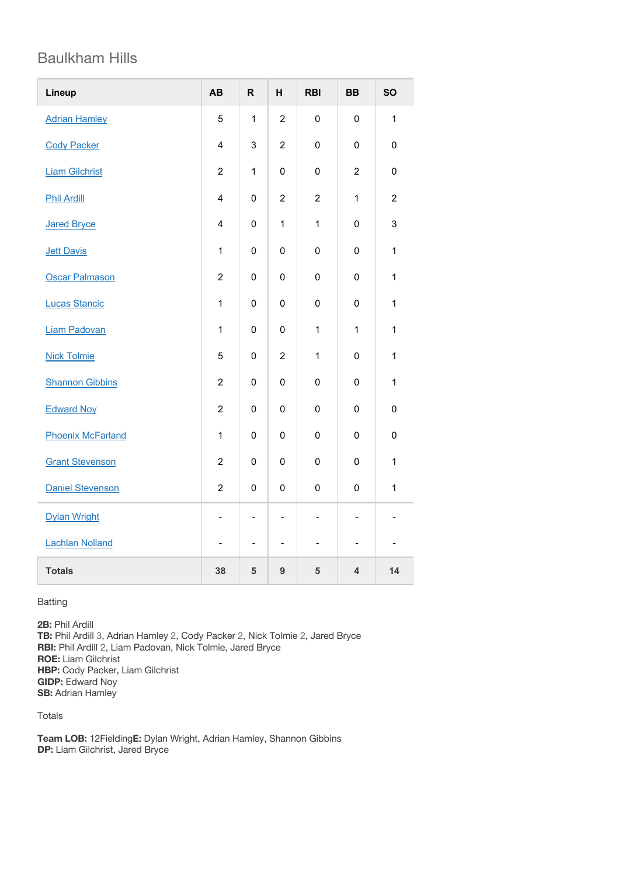## Baulkham Hills

| Lineup                   | AB                       | $\mathsf{R}$   | н                        | <b>RBI</b>               | <b>BB</b>                | <b>SO</b>      |
|--------------------------|--------------------------|----------------|--------------------------|--------------------------|--------------------------|----------------|
| <b>Adrian Hamley</b>     | 5                        | $\mathbf{1}$   | $\overline{c}$           | $\mathsf 0$              | $\mathsf 0$              | $\mathbf{1}$   |
| <b>Cody Packer</b>       | 4                        | 3              | $\overline{2}$           | $\mathbf 0$              | 0                        | 0              |
| <b>Liam Gilchrist</b>    | $\overline{c}$           | $\mathbf{1}$   | $\mathbf 0$              | $\mathsf 0$              | $\overline{c}$           | $\mathsf 0$    |
| <b>Phil Ardill</b>       | $\overline{4}$           | 0              | $\overline{2}$           | $\overline{2}$           | $\mathbf{1}$             | $\overline{2}$ |
| <b>Jared Bryce</b>       | $\overline{4}$           | $\mathbf 0$    | $\mathbf{1}$             | $\mathbf{1}$             | 0                        | 3              |
| <b>Jett Davis</b>        | $\mathbf{1}$             | $\mathsf 0$    | $\mathbf 0$              | $\mathbf 0$              | $\mathsf 0$              | $\mathbf{1}$   |
| <b>Oscar Palmason</b>    | $\overline{c}$           | $\mathsf 0$    | $\mathbf 0$              | $\mathsf 0$              | $\mathsf 0$              | $\mathbf{1}$   |
| <b>Lucas Stancic</b>     | $\mathbf{1}$             | 0              | 0                        | $\mathbf 0$              | 0                        | $\mathbf{1}$   |
| <b>Liam Padovan</b>      | $\mathbf{1}$             | 0              | 0                        | $\mathbf{1}$             | $\mathbf{1}$             | $\mathbf{1}$   |
| <b>Nick Tolmie</b>       | 5                        | 0              | $\overline{2}$           | $\mathbf{1}$             | 0                        | $\mathbf{1}$   |
| <b>Shannon Gibbins</b>   | $\overline{2}$           | 0              | 0                        | 0                        | 0                        | $\mathbf{1}$   |
| <b>Edward Noy</b>        | $\overline{c}$           | $\mathbf 0$    | $\mathbf 0$              | $\mathbf 0$              | 0                        | $\mathsf 0$    |
| <b>Phoenix McFarland</b> | $\mathbf{1}$             | 0              | 0                        | $\mathbf 0$              | 0                        | 0              |
| <b>Grant Stevenson</b>   | $\overline{c}$           | $\mathsf 0$    | $\mathbf 0$              | $\mathbf 0$              | $\mathsf 0$              | $\mathbf{1}$   |
| <b>Daniel Stevenson</b>  | $\overline{c}$           | 0              | 0                        | 0                        | $\mathbf 0$              | $\mathbf 1$    |
| <b>Dylan Wright</b>      | $\overline{\phantom{0}}$ | $\blacksquare$ | $\overline{\phantom{0}}$ | $\overline{\phantom{a}}$ | L.                       |                |
| <b>Lachlan Nolland</b>   |                          | $\blacksquare$ | $\overline{\phantom{0}}$ | $\overline{\phantom{0}}$ | $\overline{\phantom{0}}$ |                |
| <b>Totals</b>            | 38                       | 5              | 9                        | 5                        | $\overline{\mathbf{4}}$  | 14             |

Batting

**2B:** Phil Ardill **TB:** Phil Ardill 3, Adrian Hamley 2, Cody Packer 2, Nick Tolmie 2, Jared Bryce **RBI:** Phil Ardill 2, Liam Padovan, Nick Tolmie, Jared Bryce **ROE:** Liam Gilchrist **HBP:** Cody Packer, Liam Gilchrist **GIDP:** Edward Noy **SB:** Adrian Hamley

Totals

**Team LOB:** 12Fielding**E:** Dylan Wright, Adrian Hamley, Shannon Gibbins **DP:** Liam Gilchrist, Jared Bryce